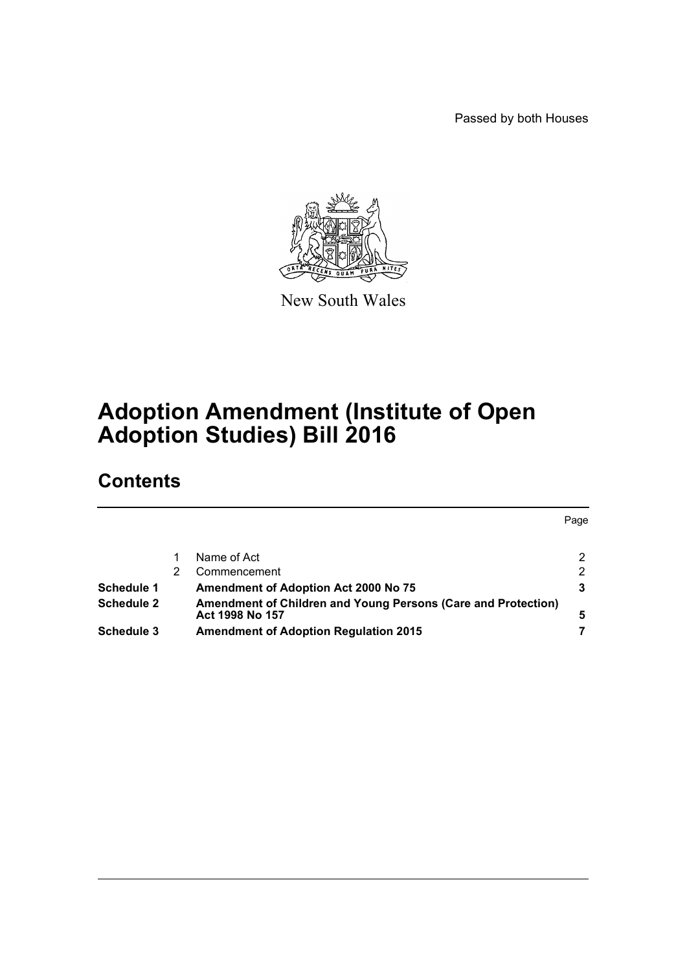Passed by both Houses



New South Wales

# **Adoption Amendment (Institute of Open Adoption Studies) Bill 2016**

## **Contents**

|                   |                                                               | Page |
|-------------------|---------------------------------------------------------------|------|
|                   | Name of Act                                                   | 2    |
|                   | Commencement                                                  | 2    |
| Schedule 1        | <b>Amendment of Adoption Act 2000 No 75</b>                   | 3    |
| <b>Schedule 2</b> | Amendment of Children and Young Persons (Care and Protection) |      |
|                   | Act 1998 No 157                                               | 5    |
| Schedule 3        | <b>Amendment of Adoption Regulation 2015</b>                  |      |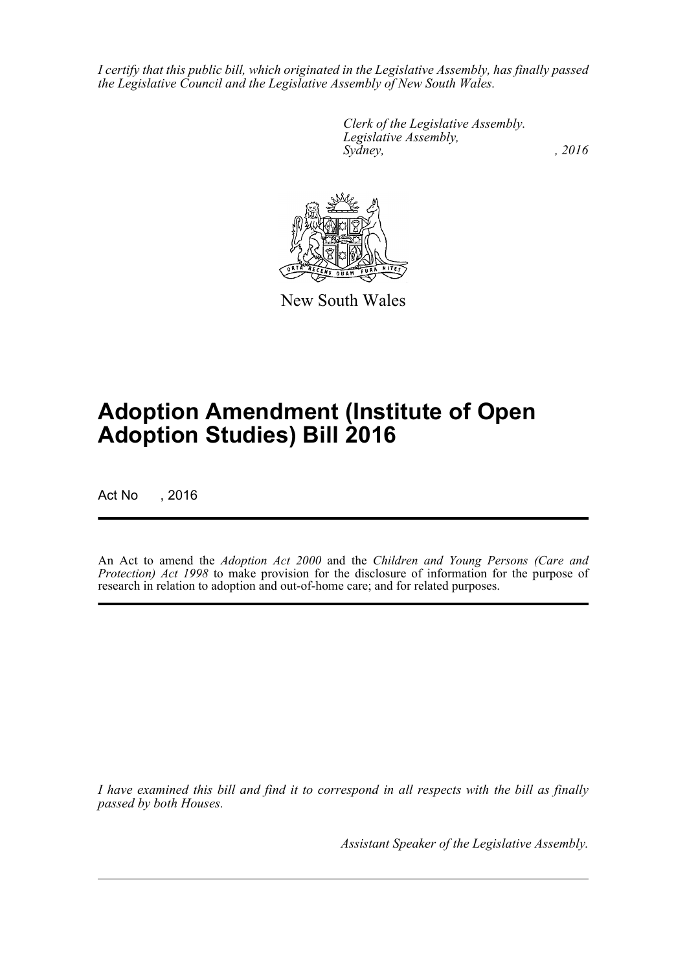*I certify that this public bill, which originated in the Legislative Assembly, has finally passed the Legislative Council and the Legislative Assembly of New South Wales.*

> *Clerk of the Legislative Assembly. Legislative Assembly, Sydney,* , 2016



New South Wales

# **Adoption Amendment (Institute of Open Adoption Studies) Bill 2016**

Act No , 2016

An Act to amend the *Adoption Act 2000* and the *Children and Young Persons (Care and Protection) Act 1998* to make provision for the disclosure of information for the purpose of research in relation to adoption and out-of-home care; and for related purposes.

*I have examined this bill and find it to correspond in all respects with the bill as finally passed by both Houses.*

*Assistant Speaker of the Legislative Assembly.*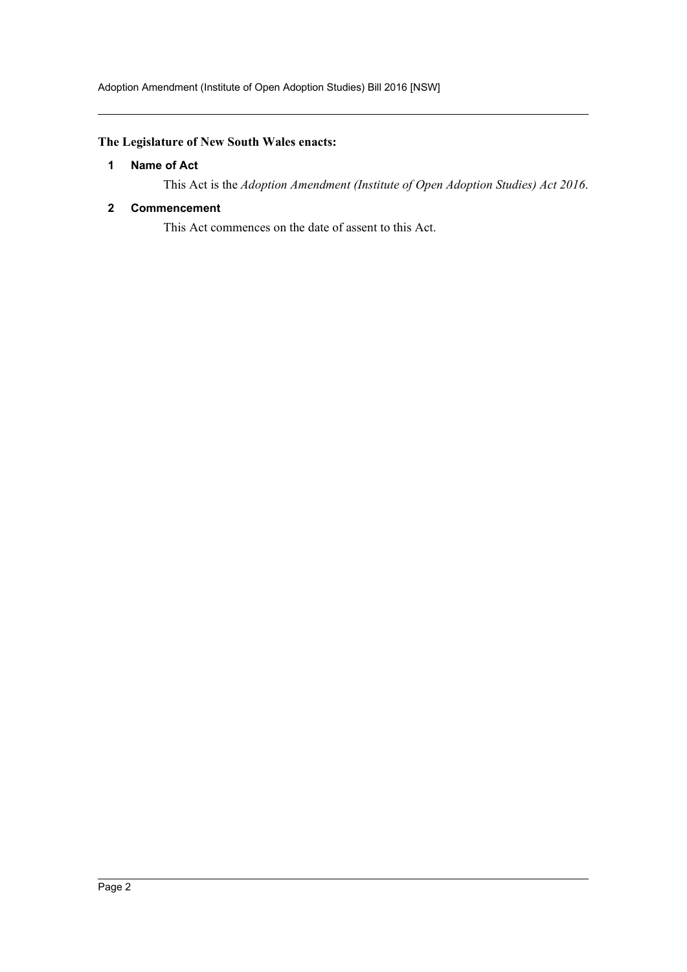### <span id="page-2-0"></span>**The Legislature of New South Wales enacts:**

#### **1 Name of Act**

This Act is the *Adoption Amendment (Institute of Open Adoption Studies) Act 2016*.

#### <span id="page-2-1"></span>**2 Commencement**

This Act commences on the date of assent to this Act.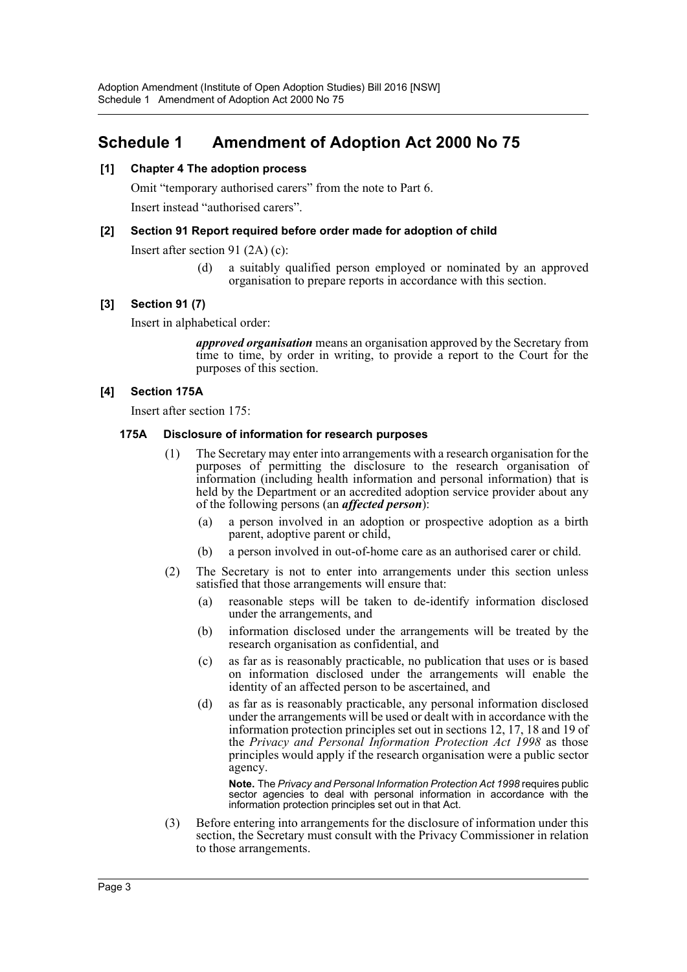### <span id="page-3-0"></span>**Schedule 1 Amendment of Adoption Act 2000 No 75**

#### **[1] Chapter 4 The adoption process**

Omit "temporary authorised carers" from the note to Part 6.

Insert instead "authorised carers".

#### **[2] Section 91 Report required before order made for adoption of child**

Insert after section 91 (2A) (c):

(d) a suitably qualified person employed or nominated by an approved organisation to prepare reports in accordance with this section.

#### **[3] Section 91 (7)**

Insert in alphabetical order:

*approved organisation* means an organisation approved by the Secretary from time to time, by order in writing, to provide a report to the Court for the purposes of this section.

#### **[4] Section 175A**

Insert after section 175:

#### **175A Disclosure of information for research purposes**

- (1) The Secretary may enter into arrangements with a research organisation for the purposes of permitting the disclosure to the research organisation of information (including health information and personal information) that is held by the Department or an accredited adoption service provider about any of the following persons (an *affected person*):
	- (a) a person involved in an adoption or prospective adoption as a birth parent, adoptive parent or child,
	- (b) a person involved in out-of-home care as an authorised carer or child.
- (2) The Secretary is not to enter into arrangements under this section unless satisfied that those arrangements will ensure that:
	- (a) reasonable steps will be taken to de-identify information disclosed under the arrangements, and
	- (b) information disclosed under the arrangements will be treated by the research organisation as confidential, and
	- (c) as far as is reasonably practicable, no publication that uses or is based on information disclosed under the arrangements will enable the identity of an affected person to be ascertained, and
	- (d) as far as is reasonably practicable, any personal information disclosed under the arrangements will be used or dealt with in accordance with the information protection principles set out in sections 12, 17, 18 and 19 of the *Privacy and Personal Information Protection Act 1998* as those principles would apply if the research organisation were a public sector agency.

**Note.** The *Privacy and Personal Information Protection Act 1998* requires public sector agencies to deal with personal information in accordance with the information protection principles set out in that Act.

(3) Before entering into arrangements for the disclosure of information under this section, the Secretary must consult with the Privacy Commissioner in relation to those arrangements.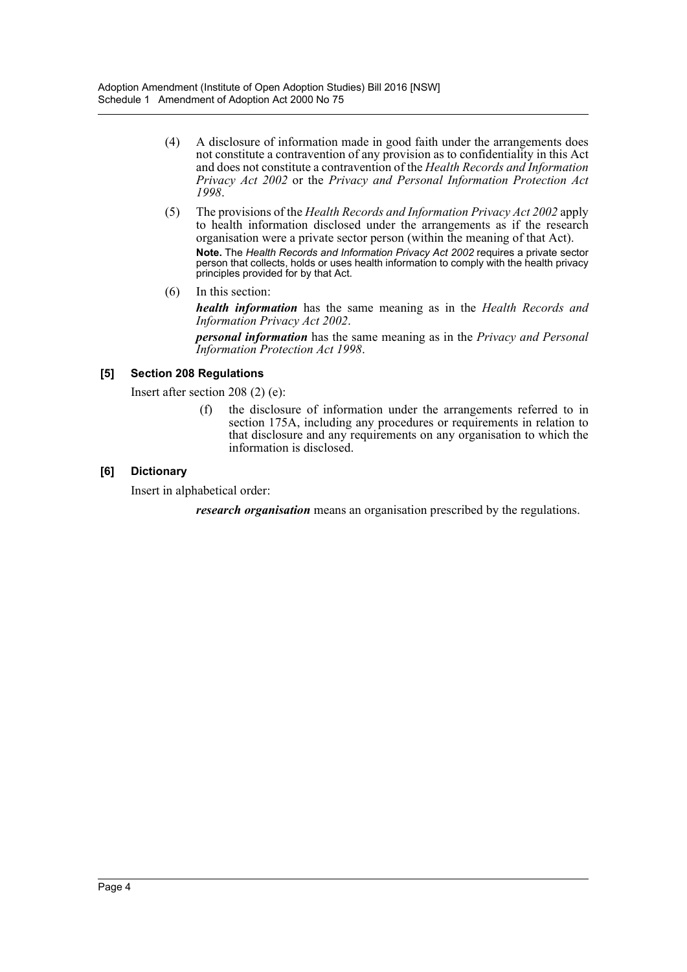- (4) A disclosure of information made in good faith under the arrangements does not constitute a contravention of any provision as to confidentiality in this Act and does not constitute a contravention of the *Health Records and Information Privacy Act 2002* or the *Privacy and Personal Information Protection Act 1998*.
- (5) The provisions of the *Health Records and Information Privacy Act 2002* apply to health information disclosed under the arrangements as if the research organisation were a private sector person (within the meaning of that Act). **Note.** The *Health Records and Information Privacy Act 2002* requires a private sector person that collects, holds or uses health information to comply with the health privacy principles provided for by that Act.
- (6) In this section:

*health information* has the same meaning as in the *Health Records and Information Privacy Act 2002*.

*personal information* has the same meaning as in the *Privacy and Personal Information Protection Act 1998*.

#### **[5] Section 208 Regulations**

Insert after section 208 (2) (e):

(f) the disclosure of information under the arrangements referred to in section 175A, including any procedures or requirements in relation to that disclosure and any requirements on any organisation to which the information is disclosed.

#### **[6] Dictionary**

Insert in alphabetical order:

*research organisation* means an organisation prescribed by the regulations.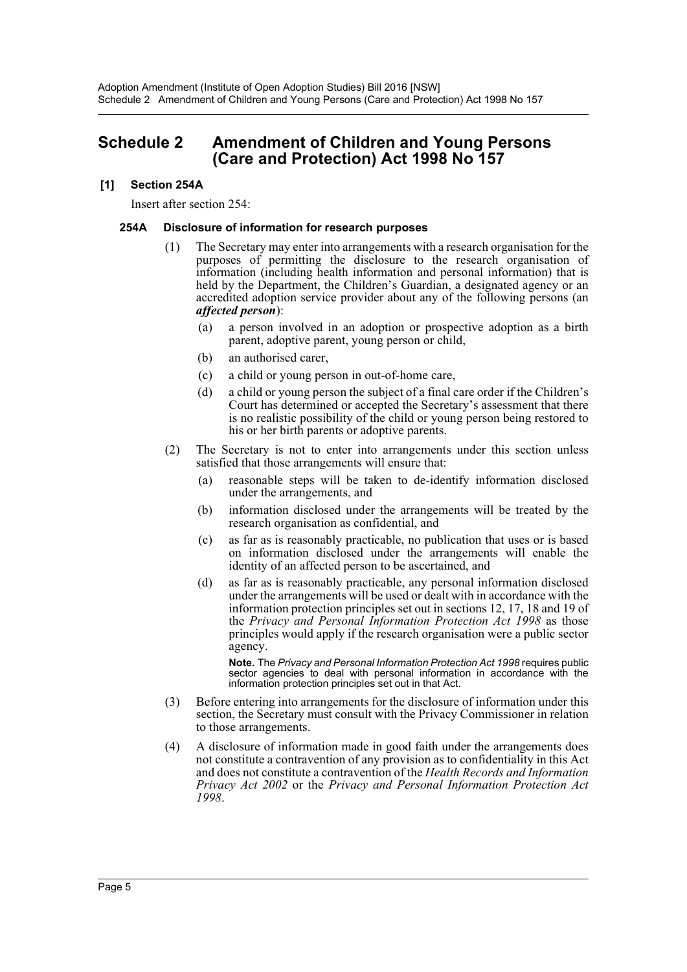### <span id="page-5-0"></span>**Schedule 2 Amendment of Children and Young Persons (Care and Protection) Act 1998 No 157**

#### **[1] Section 254A**

Insert after section 254:

#### **254A Disclosure of information for research purposes**

- (1) The Secretary may enter into arrangements with a research organisation for the purposes of permitting the disclosure to the research organisation of information (including health information and personal information) that is held by the Department, the Children's Guardian, a designated agency or an accredited adoption service provider about any of the following persons (an *affected person*):
	- (a) a person involved in an adoption or prospective adoption as a birth parent, adoptive parent, young person or child,
	- (b) an authorised carer,
	- (c) a child or young person in out-of-home care,
	- (d) a child or young person the subject of a final care order if the Children's Court has determined or accepted the Secretary's assessment that there is no realistic possibility of the child or young person being restored to his or her birth parents or adoptive parents.
- (2) The Secretary is not to enter into arrangements under this section unless satisfied that those arrangements will ensure that:
	- (a) reasonable steps will be taken to de-identify information disclosed under the arrangements, and
	- (b) information disclosed under the arrangements will be treated by the research organisation as confidential, and
	- (c) as far as is reasonably practicable, no publication that uses or is based on information disclosed under the arrangements will enable the identity of an affected person to be ascertained, and
	- (d) as far as is reasonably practicable, any personal information disclosed under the arrangements will be used or dealt with in accordance with the information protection principles set out in sections 12, 17, 18 and 19 of the *Privacy and Personal Information Protection Act 1998* as those principles would apply if the research organisation were a public sector agency.

**Note.** The *Privacy and Personal Information Protection Act 1998* requires public sector agencies to deal with personal information in accordance with the information protection principles set out in that Act.

- (3) Before entering into arrangements for the disclosure of information under this section, the Secretary must consult with the Privacy Commissioner in relation to those arrangements.
- (4) A disclosure of information made in good faith under the arrangements does not constitute a contravention of any provision as to confidentiality in this Act and does not constitute a contravention of the *Health Records and Information Privacy Act 2002* or the *Privacy and Personal Information Protection Act 1998*.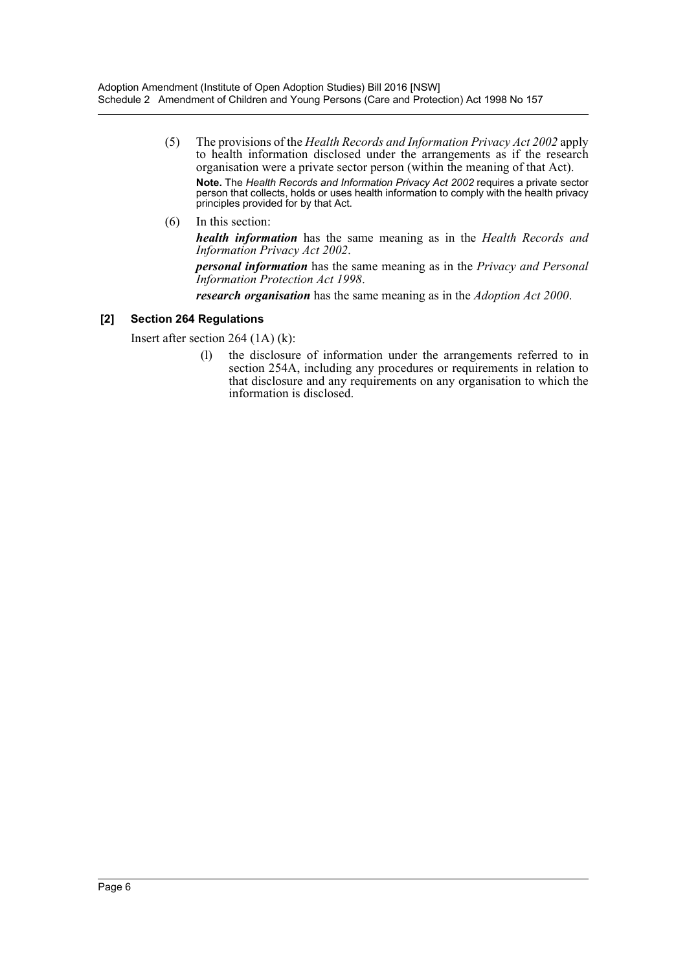- (5) The provisions of the *Health Records and Information Privacy Act 2002* apply to health information disclosed under the arrangements as if the research organisation were a private sector person (within the meaning of that Act). **Note.** The *Health Records and Information Privacy Act 2002* requires a private sector person that collects, holds or uses health information to comply with the health privacy principles provided for by that Act.
- (6) In this section:

*health information* has the same meaning as in the *Health Records and Information Privacy Act 2002*.

*personal information* has the same meaning as in the *Privacy and Personal Information Protection Act 1998*.

*research organisation* has the same meaning as in the *Adoption Act 2000*.

#### **[2] Section 264 Regulations**

Insert after section 264 (1A) (k):

(l) the disclosure of information under the arrangements referred to in section 254A, including any procedures or requirements in relation to that disclosure and any requirements on any organisation to which the information is disclosed.